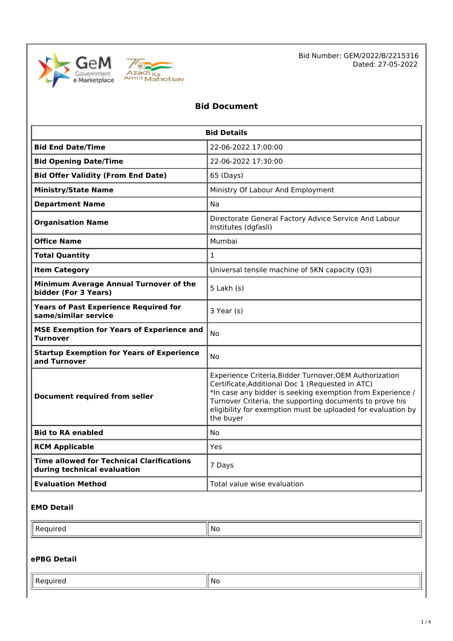



Bid Number: GEM/2022/B/2215316 Dated: 27-05-2022

# **Bid Document**

| <b>Bid Details</b>                                                              |                                                                                                                                                                                                                                                                                                                    |  |  |
|---------------------------------------------------------------------------------|--------------------------------------------------------------------------------------------------------------------------------------------------------------------------------------------------------------------------------------------------------------------------------------------------------------------|--|--|
| <b>Bid End Date/Time</b>                                                        | 22-06-2022 17:00:00                                                                                                                                                                                                                                                                                                |  |  |
| <b>Bid Opening Date/Time</b>                                                    | 22-06-2022 17:30:00                                                                                                                                                                                                                                                                                                |  |  |
| <b>Bid Offer Validity (From End Date)</b>                                       | 65 (Days)                                                                                                                                                                                                                                                                                                          |  |  |
| <b>Ministry/State Name</b>                                                      | Ministry Of Labour And Employment                                                                                                                                                                                                                                                                                  |  |  |
| <b>Department Name</b>                                                          | Na                                                                                                                                                                                                                                                                                                                 |  |  |
| <b>Organisation Name</b>                                                        | Directorate General Factory Advice Service And Labour<br>Institutes (dgfasli)                                                                                                                                                                                                                                      |  |  |
| <b>Office Name</b>                                                              | Mumbai                                                                                                                                                                                                                                                                                                             |  |  |
| <b>Total Quantity</b>                                                           | $\mathbf{1}$                                                                                                                                                                                                                                                                                                       |  |  |
| <b>Item Category</b>                                                            | Universal tensile machine of 5KN capacity (Q3)                                                                                                                                                                                                                                                                     |  |  |
| Minimum Average Annual Turnover of the<br>bidder (For 3 Years)                  | $5$ Lakh $(s)$                                                                                                                                                                                                                                                                                                     |  |  |
| <b>Years of Past Experience Required for</b><br>same/similar service            | 3 Year (s)                                                                                                                                                                                                                                                                                                         |  |  |
| <b>MSE Exemption for Years of Experience and</b><br>Turnover                    | No                                                                                                                                                                                                                                                                                                                 |  |  |
| <b>Startup Exemption for Years of Experience</b><br>and Turnover                | No                                                                                                                                                                                                                                                                                                                 |  |  |
| Document required from seller                                                   | Experience Criteria, Bidder Turnover, OEM Authorization<br>Certificate, Additional Doc 1 (Requested in ATC)<br>*In case any bidder is seeking exemption from Experience /<br>Turnover Criteria, the supporting documents to prove his<br>eligibility for exemption must be uploaded for evaluation by<br>the buyer |  |  |
| <b>Bid to RA enabled</b>                                                        | No                                                                                                                                                                                                                                                                                                                 |  |  |
| <b>RCM Applicable</b>                                                           | Yes                                                                                                                                                                                                                                                                                                                |  |  |
| <b>Time allowed for Technical Clarifications</b><br>during technical evaluation | 7 Days                                                                                                                                                                                                                                                                                                             |  |  |
| <b>Evaluation Method</b>                                                        | Total value wise evaluation                                                                                                                                                                                                                                                                                        |  |  |

# **EMD Detail**

| NC. |
|-----|
|     |

# **ePBG Detail**

| - |      |
|---|------|
| ∸ | ' No |
| . |      |
|   |      |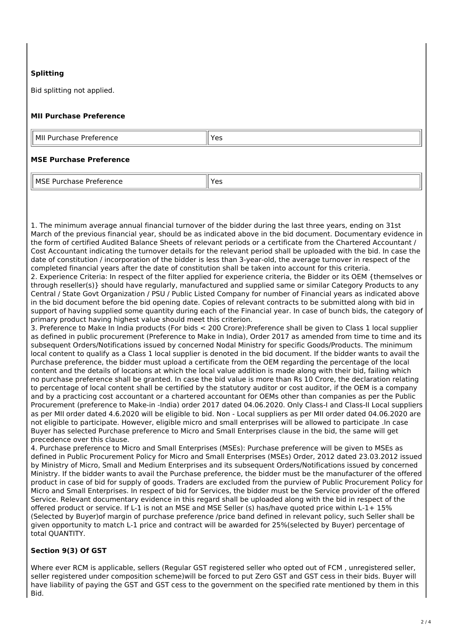## **Splitting**

Bid splitting not applied.

#### **MII Purchase Preference**

| MII                 | 'Yac |
|---------------------|------|
| Purchase Preference |      |
|                     |      |

#### **MSE Purchase Preference**

MSE Purchase Preference Vestillaria Vestillaria Vestillaria Vestillaria Vestillaria Vestillaria Vestillaria Ve

1. The minimum average annual financial turnover of the bidder during the last three years, ending on 31st March of the previous financial year, should be as indicated above in the bid document. Documentary evidence in the form of certified Audited Balance Sheets of relevant periods or a certificate from the Chartered Accountant / Cost Accountant indicating the turnover details for the relevant period shall be uploaded with the bid. In case the date of constitution / incorporation of the bidder is less than 3-year-old, the average turnover in respect of the completed financial years after the date of constitution shall be taken into account for this criteria.

2. Experience Criteria: In respect of the filter applied for experience criteria, the Bidder or its OEM {themselves or through reseller(s)} should have regularly, manufactured and supplied same or similar Category Products to any Central / State Govt Organization / PSU / Public Listed Company for number of Financial years as indicated above in the bid document before the bid opening date. Copies of relevant contracts to be submitted along with bid in support of having supplied some quantity during each of the Financial year. In case of bunch bids, the category of primary product having highest value should meet this criterion.

3. Preference to Make In India products (For bids < 200 Crore):Preference shall be given to Class 1 local supplier as defined in public procurement (Preference to Make in India), Order 2017 as amended from time to time and its subsequent Orders/Notifications issued by concerned Nodal Ministry for specific Goods/Products. The minimum local content to qualify as a Class 1 local supplier is denoted in the bid document. If the bidder wants to avail the Purchase preference, the bidder must upload a certificate from the OEM regarding the percentage of the local content and the details of locations at which the local value addition is made along with their bid, failing which no purchase preference shall be granted. In case the bid value is more than Rs 10 Crore, the declaration relating to percentage of local content shall be certified by the statutory auditor or cost auditor, if the OEM is a company and by a practicing cost accountant or a chartered accountant for OEMs other than companies as per the Public Procurement (preference to Make-in -India) order 2017 dated 04.06.2020. Only Class-I and Class-II Local suppliers as per MII order dated 4.6.2020 will be eligible to bid. Non - Local suppliers as per MII order dated 04.06.2020 are not eligible to participate. However, eligible micro and small enterprises will be allowed to participate .In case Buyer has selected Purchase preference to Micro and Small Enterprises clause in the bid, the same will get precedence over this clause.

4. Purchase preference to Micro and Small Enterprises (MSEs): Purchase preference will be given to MSEs as defined in Public Procurement Policy for Micro and Small Enterprises (MSEs) Order, 2012 dated 23.03.2012 issued by Ministry of Micro, Small and Medium Enterprises and its subsequent Orders/Notifications issued by concerned Ministry. If the bidder wants to avail the Purchase preference, the bidder must be the manufacturer of the offered product in case of bid for supply of goods. Traders are excluded from the purview of Public Procurement Policy for Micro and Small Enterprises. In respect of bid for Services, the bidder must be the Service provider of the offered Service. Relevant documentary evidence in this regard shall be uploaded along with the bid in respect of the offered product or service. If L-1 is not an MSE and MSE Seller (s) has/have quoted price within L-1+ 15% (Selected by Buyer)of margin of purchase preference /price band defined in relevant policy, such Seller shall be given opportunity to match L-1 price and contract will be awarded for 25%(selected by Buyer) percentage of total QUANTITY.

#### **Section 9(3) Of GST**

Where ever RCM is applicable, sellers (Regular GST registered seller who opted out of FCM , unregistered seller, seller registered under composition scheme)will be forced to put Zero GST and GST cess in their bids. Buyer will have liability of paying the GST and GST cess to the government on the specified rate mentioned by them in this Bid.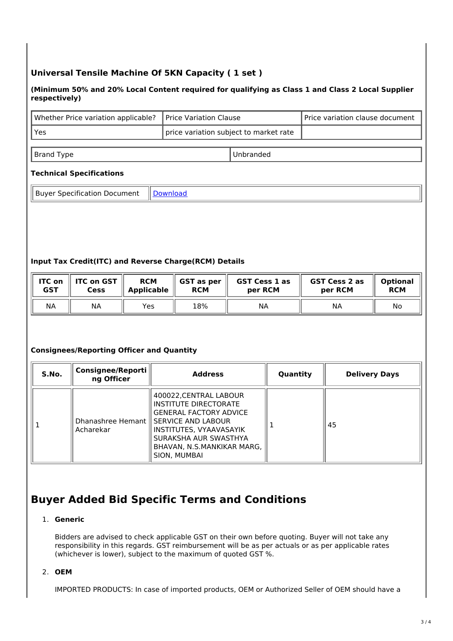# **Universal Tensile Machine Of 5KN Capacity ( 1 set )**

#### **(Minimum 50% and 20% Local Content required for qualifying as Class 1 and Class 2 Local Supplier respectively)**

| Whether Price variation applicable?   Price Variation Clause |                                           | Price variation clause document |
|--------------------------------------------------------------|-------------------------------------------|---------------------------------|
| ' Yes                                                        | I price variation subject to market rate. |                                 |

Brand Type **Unbranded** 

### **Technical Specifications**

Buyer Specification Document | [Download](https://mkp.gem.gov.in/catalog_data/catalog_support_document/buyer_documents/125462/54/78/703/CatalogAttrs/SpecificationDocument/2022/5/27/utm-specification_2022-05-27-12-32-45_0c6e5cbc1567e55fc684eb82a18fd557.pdf)

#### **Input Tax Credit(ITC) and Reverse Charge(RCM) Details**

| <b>ITC on</b> | <b>ITC on GST</b> | <b>RCM</b>        | GST as per | <b>GST Cess 1 as</b> | <b>GST Cess 2 as</b> | <b>Optional</b> |
|---------------|-------------------|-------------------|------------|----------------------|----------------------|-----------------|
| <b>GST</b>    | Cess              | <b>Applicable</b> | <b>RCM</b> | per RCM              | per RCM              | <b>RCM</b>      |
| <b>NA</b>     | ΝA                | Yes               | 18%        | ΝA                   | ΝA                   | No              |

#### **Consignees/Reporting Officer and Quantity**

| S.No. | <b>Consignee/Reporti</b><br>ng Officer | <b>Address</b>                                                                                                                                                                                                                | Quantity | <b>Delivery Days</b> |
|-------|----------------------------------------|-------------------------------------------------------------------------------------------------------------------------------------------------------------------------------------------------------------------------------|----------|----------------------|
|       | Acharekar                              | 400022, CENTRAL LABOUR<br>INSTITUTE DIRECTORATE<br><b>GENERAL FACTORY ADVICE</b><br>Dhanashree Hemant    SERVICE AND LABOUR<br>INSTITUTES, VYAAVASAYIK<br>SURAKSHA AUR SWASTHYA<br>BHAVAN, N.S.MANKIKAR MARG,<br>SION, MUMBAI |          | 45                   |

# **Buyer Added Bid Specific Terms and Conditions**

#### 1. **Generic**

Bidders are advised to check applicable GST on their own before quoting. Buyer will not take any responsibility in this regards. GST reimbursement will be as per actuals or as per applicable rates (whichever is lower), subject to the maximum of quoted GST %.

# 2. **OEM**

IMPORTED PRODUCTS: In case of imported products, OEM or Authorized Seller of OEM should have a